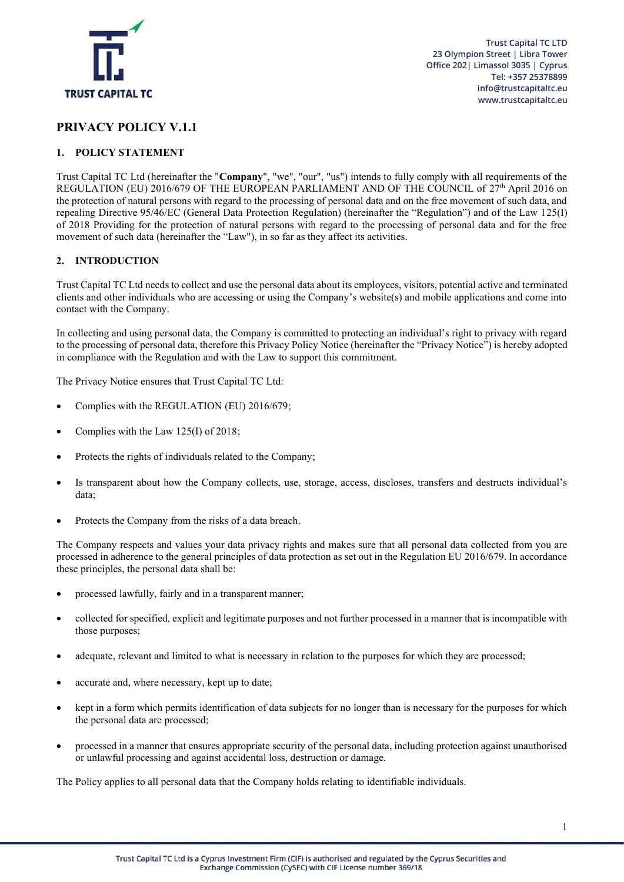

# **PRIVACY POLICY V.1.1**

# **1. POLICY STATEMENT**

Trust Capital TC Ltd (hereinafter the "**Company**", "we", "our", "us") intends to fully comply with all requirements of the REGULATION (EU) 2016/679 OF THE EUROPEAN PARLIAMENT AND OF THE COUNCIL of 27<sup>th</sup> April 2016 on the protection of natural persons with regard to the processing of personal data and on the free movement of such data, and repealing Directive 95/46/EC (General Data Protection Regulation) (hereinafter the "Regulation") and of the Law 125(I) of 2018 Providing for the protection of natural persons with regard to the processing of personal data and for the free movement of such data (hereinafter the "Law"), in so far as they affect its activities.

# **2. INTRODUCTION**

Trust Capital TC Ltd needs to collect and use the personal data about its employees, visitors, potential active and terminated clients and other individuals who are accessing or using the Company's website(s) and mobile applications and come into contact with the Company.

In collecting and using personal data, the Company is committed to protecting an individual's right to privacy with regard to the processing of personal data, therefore this Privacy Policy Notice (hereinafter the "Privacy Notice") is hereby adopted in compliance with the Regulation and with the Law to support this commitment.

The Privacy Notice ensures that Trust Capital TC Ltd:

- Complies with the REGULATION (EU) 2016/679;
- Complies with the Law 125(I) of 2018;
- Protects the rights of individuals related to the Company;
- Is transparent about how the Company collects, use, storage, access, discloses, transfers and destructs individual's data;
- Protects the Company from the risks of a data breach.

The Company respects and values your data privacy rights and makes sure that all personal data collected from you are processed in adherence to the general principles of data protection as set out in the Regulation EU 2016/679. In accordance these principles, the personal data shall be:

- processed lawfully, fairly and in a transparent manner;
- collected for specified, explicit and legitimate purposes and not further processed in a manner that is incompatible with those purposes;
- adequate, relevant and limited to what is necessary in relation to the purposes for which they are processed;
- accurate and, where necessary, kept up to date;
- kept in a form which permits identification of data subjects for no longer than is necessary for the purposes for which the personal data are processed;
- processed in a manner that ensures appropriate security of the personal data, including protection against unauthorised or unlawful processing and against accidental loss, destruction or damage.

The Policy applies to all personal data that the Company holds relating to identifiable individuals.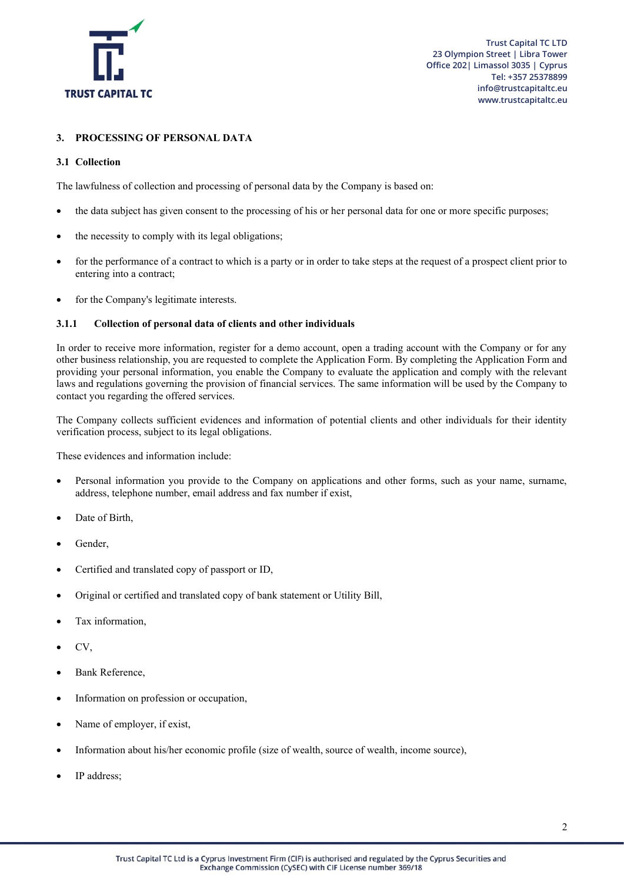

# **3. PROCESSING OF PERSONAL DATA**

# **3.1 Collection**

The lawfulness of collection and processing of personal data by the Company is based on:

- the data subject has given consent to the processing of his or her personal data for one or more specific purposes;
- the necessity to comply with its legal obligations;
- for the performance of a contract to which is a party or in order to take steps at the request of a prospect client prior to entering into a contract;
- for the Company's legitimate interests.

# **3.1.1 Collection of personal data of clients and other individuals**

In order to receive more information, register for a demo account, open a trading account with the Company or for any other business relationship, you are requested to complete the Application Form. By completing the Application Form and providing your personal information, you enable the Company to evaluate the application and comply with the relevant laws and regulations governing the provision of financial services. The same information will be used by the Company to contact you regarding the offered services.

The Company collects sufficient evidences and information of potential clients and other individuals for their identity verification process, subject to its legal obligations.

These evidences and information include:

- Personal information you provide to the Company on applications and other forms, such as your name, surname, address, telephone number, email address and fax number if exist,
- Date of Birth,
- Gender,
- Certified and translated copy of passport or ID,
- Original or certified and translated copy of bank statement or Utility Bill,
- Tax information.
- CV,
- Bank Reference,
- Information on profession or occupation,
- Name of employer, if exist,
- Information about his/her economic profile (size of wealth, source of wealth, income source),
- IP address: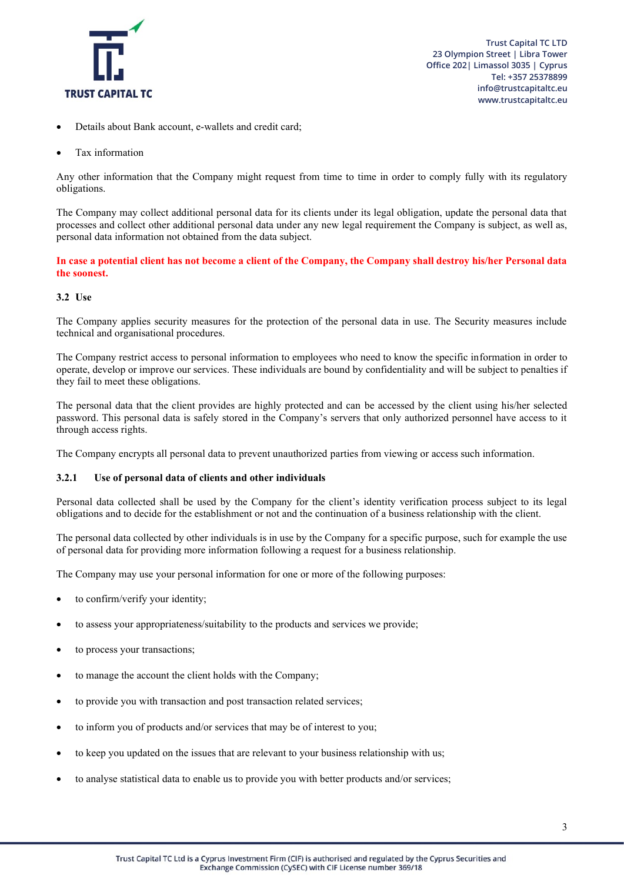

- Details about Bank account, e-wallets and credit card;
- Tax information

Any other information that the Company might request from time to time in order to comply fully with its regulatory obligations.

The Company may collect additional personal data for its clients under its legal obligation, update the personal data that processes and collect other additional personal data under any new legal requirement the Company is subject, as well as, personal data information not obtained from the data subject.

**In case a potential client has not become a client of the Company, the Company shall destroy his/her Personal data the soonest.**

### **3.2 Use**

The Company applies security measures for the protection of the personal data in use. The Security measures include technical and organisational procedures.

The Company restrict access to personal information to employees who need to know the specific information in order to operate, develop or improve our services. These individuals are bound by confidentiality and will be subject to penalties if they fail to meet these obligations.

The personal data that the client provides are highly protected and can be accessed by the client using his/her selected password. This personal data is safely stored in the Company's servers that only authorized personnel have access to it through access rights.

The Company encrypts all personal data to prevent unauthorized parties from viewing or access such information.

### **3.2.1 Use of personal data of clients and other individuals**

Personal data collected shall be used by the Company for the client's identity verification process subject to its legal obligations and to decide for the establishment or not and the continuation of a business relationship with the client.

The personal data collected by other individuals is in use by the Company for a specific purpose, such for example the use of personal data for providing more information following a request for a business relationship.

The Company may use your personal information for one or more of the following purposes:

- to confirm/verify your identity;
- to assess your appropriateness/suitability to the products and services we provide;
- to process your transactions;
- to manage the account the client holds with the Company;
- to provide you with transaction and post transaction related services;
- to inform you of products and/or services that may be of interest to you;
- to keep you updated on the issues that are relevant to your business relationship with us;
- to analyse statistical data to enable us to provide you with better products and/or services;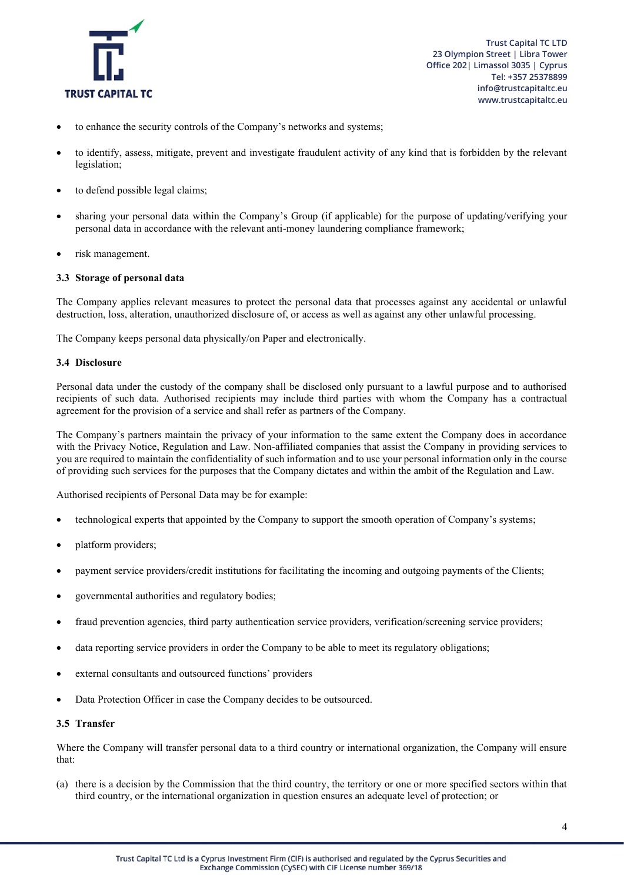

- to enhance the security controls of the Company's networks and systems;
- to identify, assess, mitigate, prevent and investigate fraudulent activity of any kind that is forbidden by the relevant legislation;
- to defend possible legal claims;
- sharing your personal data within the Company's Group (if applicable) for the purpose of updating/verifying your personal data in accordance with the relevant anti-money laundering compliance framework;
- risk management.

### **3.3 Storage of personal data**

The Company applies relevant measures to protect the personal data that processes against any accidental or unlawful destruction, loss, alteration, unauthorized disclosure of, or access as well as against any other unlawful processing.

The Company keeps personal data physically/on Paper and electronically.

#### **3.4 Disclosure**

Personal data under the custody of the company shall be disclosed only pursuant to a lawful purpose and to authorised recipients of such data. Authorised recipients may include third parties with whom the Company has a contractual agreement for the provision of a service and shall refer as partners of the Company.

The Company's partners maintain the privacy of your information to the same extent the Company does in accordance with the Privacy Notice, Regulation and Law. Non-affiliated companies that assist the Company in providing services to you are required to maintain the confidentiality of such information and to use your personal information only in the course of providing such services for the purposes that the Company dictates and within the ambit of the Regulation and Law.

Authorised recipients of Personal Data may be for example:

- technological experts that appointed by the Company to support the smooth operation of Company's systems;
- platform providers;
- payment service providers/credit institutions for facilitating the incoming and outgoing payments of the Clients;
- governmental authorities and regulatory bodies;
- fraud prevention agencies, third party authentication service providers, verification/screening service providers;
- data reporting service providers in order the Company to be able to meet its regulatory obligations;
- external consultants and outsourced functions' providers
- Data Protection Officer in case the Company decides to be outsourced.

#### **3.5 Transfer**

Where the Company will transfer personal data to a third country or international organization, the Company will ensure that:

(a) there is a decision by the Commission that the third country, the territory or one or more specified sectors within that third country, or the international organization in question ensures an adequate level of protection; or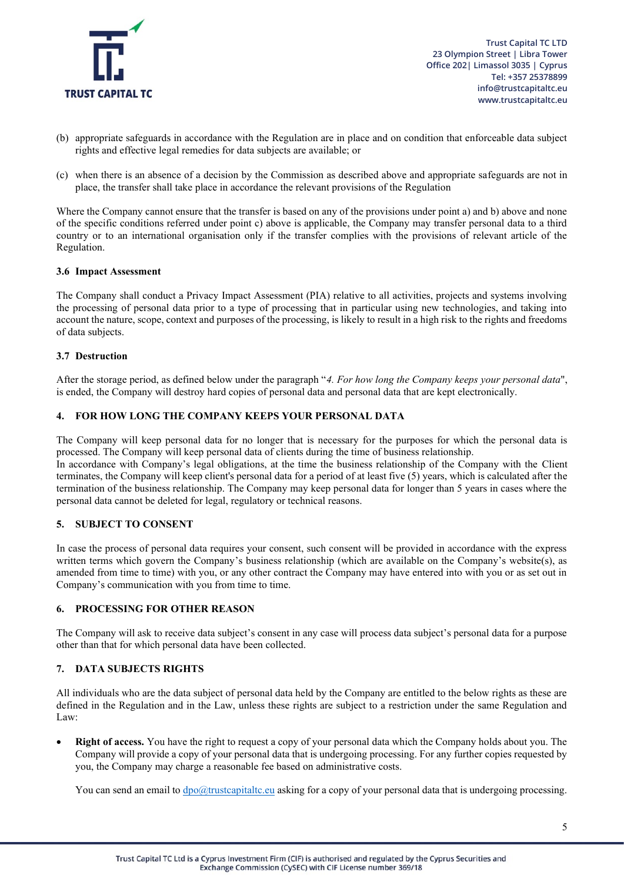

 **Trust Capital TC LTD 23 Olympion Street | Libra Tower Office 202| Limassol 3035 | Cyprus Tel: +357 25378899 info@trustcapitaltc.eu www.trustcapitaltc.eu**

- (b) appropriate safeguards in accordance with the Regulation are in place and on condition that enforceable data subject rights and effective legal remedies for data subjects are available; or
- (c) when there is an absence of a decision by the Commission as described above and appropriate safeguards are not in place, the transfer shall take place in accordance the relevant provisions of the Regulation

Where the Company cannot ensure that the transfer is based on any of the provisions under point a) and b) above and none of the specific conditions referred under point c) above is applicable, the Company may transfer personal data to a third country or to an international organisation only if the transfer complies with the provisions of relevant article of the Regulation.

#### **3.6 Impact Assessment**

The Company shall conduct a Privacy Impact Assessment (PIA) relative to all activities, projects and systems involving the processing of personal data prior to a type of processing that in particular using new technologies, and taking into account the nature, scope, context and purposes of the processing, is likely to result in a high risk to the rights and freedoms of data subjects.

#### **3.7 Destruction**

After the storage period, as defined below under the paragraph "*4. For how long the Company keeps your personal data*", is ended, the Company will destroy hard copies of personal data and personal data that are kept electronically.

#### **4. FOR HOW LONG THE COMPANY KEEPS YOUR PERSONAL DATA**

The Company will keep personal data for no longer that is necessary for the purposes for which the personal data is processed. The Company will keep personal data of clients during the time of business relationship. In accordance with Company's legal obligations, at the time the business relationship of the Company with the Client terminates, the Company will keep client's personal data for a period of at least five (5) years, which is calculated after the termination of the business relationship. The Company may keep personal data for longer than 5 years in cases where the personal data cannot be deleted for legal, regulatory or technical reasons.

### **5. SUBJECT TO CONSENT**

In case the process of personal data requires your consent, such consent will be provided in accordance with the express written terms which govern the Company's business relationship (which are available on the Company's website(s), as amended from time to time) with you, or any other contract the Company may have entered into with you or as set out in Company's communication with you from time to time.

#### **6. PROCESSING FOR OTHER REASON**

The Company will ask to receive data subject's consent in any case will process data subject's personal data for a purpose other than that for which personal data have been collected.

### **7. DATA SUBJECTS RIGHTS**

All individuals who are the data subject of personal data held by the Company are entitled to the below rights as these are defined in the Regulation and in the Law, unless these rights are subject to a restriction under the same Regulation and Law:

• **Right of access.** You have the right to request a copy of your personal data which the Company holds about you. The Company will provide a copy of your personal data that is undergoing processing. For any further copies requested by you, the Company may charge a reasonable fee based on administrative costs.

You can send an email to  $\frac{dp}{dx}$ trustcapitaltc.eu asking for a copy of your personal data that is undergoing processing.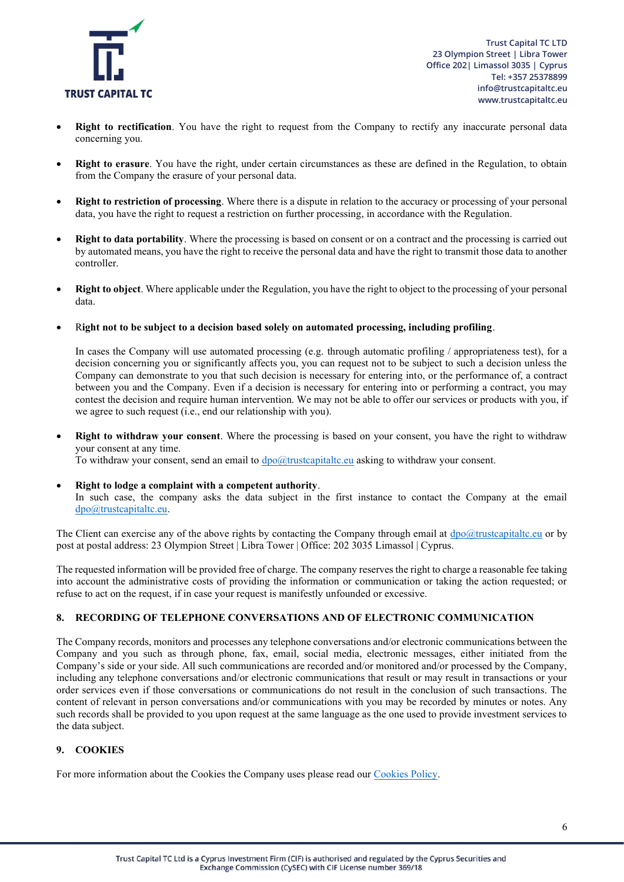

- **Right to rectification**. You have the right to request from the Company to rectify any inaccurate personal data concerning you.
- **Right to erasure**. You have the right, under certain circumstances as these are defined in the Regulation, to obtain from the Company the erasure of your personal data.
- **Right to restriction of processing**. Where there is a dispute in relation to the accuracy or processing of your personal data, you have the right to request a restriction on further processing, in accordance with the Regulation.
- **Right to data portability**. Where the processing is based on consent or on a contract and the processing is carried out by automated means, you have the right to receive the personal data and have the right to transmit those data to another controller.
- **Right to object**. Where applicable under the Regulation, you have the right to object to the processing of your personal data.
- R**ight not to be subject to a decision based solely on automated processing, including profiling**.

In cases the Company will use automated processing (e.g. through automatic profiling / appropriateness test), for a decision concerning you or significantly affects you, you can request not to be subject to such a decision unless the Company can demonstrate to you that such decision is necessary for entering into, or the performance of, a contract between you and the Company. Even if a decision is necessary for entering into or performing a contract, you may contest the decision and require human intervention. We may not be able to offer our services or products with you, if we agree to such request (i.e., end our relationship with you).

**Right to withdraw your consent**. Where the processing is based on your consent, you have the right to withdraw your consent at any time.

To withdraw your consent, send an email to  $\frac{dp}{dt}$  trustcapitaltc.eu asking to withdraw your consent.

• **Right to lodge a complaint with a competent authority**.

In such case, the company asks the data subject in the first instance to contact the Company at the email [dpo@trustcapitaltc.eu.](mailto:dpo@trustcapitaltc.eu)

The Client can exercise any of the above rights by contacting the Company through email at  $dpo@truetcapitalte.eu$  or by post at postal address: 23 Olympion Street | Libra Tower | Office: 202 3035 Limassol | Cyprus.

The requested information will be provided free of charge. The company reserves the right to charge a reasonable fee taking into account the administrative costs of providing the information or communication or taking the action requested; or refuse to act on the request, if in case your request is manifestly unfounded or excessive.

### **8. RECORDING OF TELEPHONE CONVERSATIONS AND OF ELECTRONIC COMMUNICATION**

The Company records, monitors and processes any telephone conversations and/or electronic communications between the Company and you such as through phone, fax, email, social media, electronic messages, either initiated from the Company's side or your side. All such communications are recorded and/or monitored and/or processed by the Company, including any telephone conversations and/or electronic communications that result or may result in transactions or your order services even if those conversations or communications do not result in the conclusion of such transactions. The content of relevant in person conversations and/or communications with you may be recorded by minutes or notes. Any such records shall be provided to you upon request at the same language as the one used to provide investment services to the data subject.

# **9. COOKIES**

For more information about the Cookies the Company uses please read ou[r Cookies Policy.](https://trustcapitaltc.eu/legal-documentation)